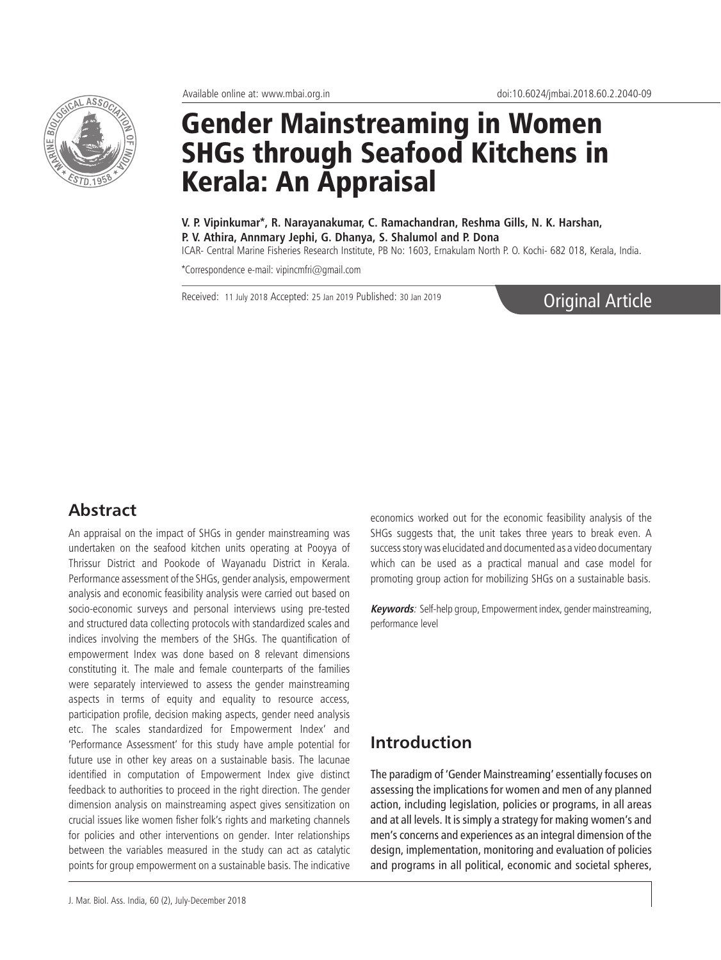

# Gender Mainstreaming in Women SHGs through Seafood Kitchens in Kerala: An Appraisal

**V. P. Vipinkumar\*, R. Narayanakumar, C. Ramachandran, Reshma Gills, N. K. Harshan, P. V. Athira, Annmary Jephi, G. Dhanya, S. Shalumol and P. Dona**

ICAR- Central Marine Fisheries Research Institute, PB No: 1603, Ernakulam North P. O. Kochi- 682 018, Kerala, India.

\*Correspondence e-mail: vipincmfri@gmail.com

Received: 11 July 2018 Accepted: 25 Jan 2019 Published: 30 Jan 2019

Original Article

## **Abstract**

An appraisal on the impact of SHGs in gender mainstreaming was undertaken on the seafood kitchen units operating at Pooyya of Thrissur District and Pookode of Wayanadu District in Kerala. Performance assessment of the SHGs, gender analysis, empowerment analysis and economic feasibility analysis were carried out based on socio-economic surveys and personal interviews using pre-tested and structured data collecting protocols with standardized scales and indices involving the members of the SHGs. The quantification of empowerment Index was done based on 8 relevant dimensions constituting it. The male and female counterparts of the families were separately interviewed to assess the gender mainstreaming aspects in terms of equity and equality to resource access, participation profile, decision making aspects, gender need analysis etc. The scales standardized for Empowerment Index' and 'Performance Assessment' for this study have ample potential for future use in other key areas on a sustainable basis. The lacunae identified in computation of Empowerment Index give distinct feedback to authorities to proceed in the right direction. The gender dimension analysis on mainstreaming aspect gives sensitization on crucial issues like women fisher folk's rights and marketing channels for policies and other interventions on gender. Inter relationships between the variables measured in the study can act as catalytic points for group empowerment on a sustainable basis. The indicative

which can be used as a practical manual and case model for promoting group action for mobilizing SHGs on a sustainable basis. **Keywords**: Self-help group, Empowerment index, gender mainstreaming, performance level

economics worked out for the economic feasibility analysis of the SHGs suggests that, the unit takes three years to break even. A success story was elucidated and documented as a video documentary

## **Introduction**

The paradigm of 'Gender Mainstreaming' essentially focuses on assessing the implications for women and men of any planned action, including legislation, policies or programs, in all areas and at all levels. It is simply a strategy for making women's and men's concerns and experiences as an integral dimension of the design, implementation, monitoring and evaluation of policies and programs in all political, economic and societal spheres,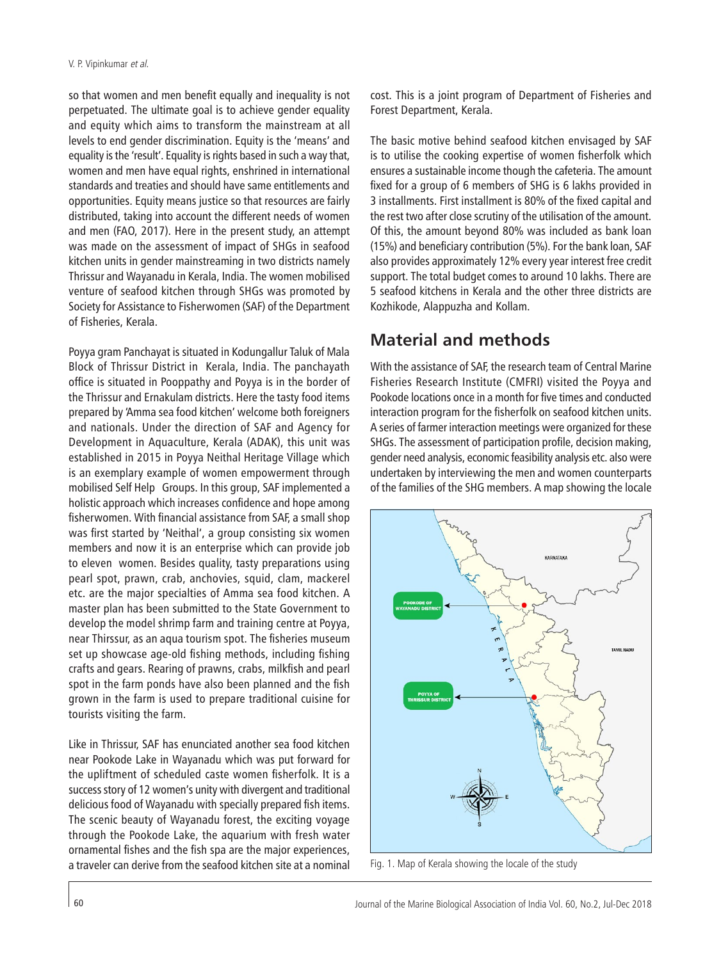so that women and men benefit equally and inequality is not perpetuated. The ultimate goal is to achieve gender equality and equity which aims to transform the mainstream at all levels to end gender discrimination. Equity is the 'means' and equality is the 'result'. Equality is rights based in such a way that, women and men have equal rights, enshrined in international standards and treaties and should have same entitlements and opportunities. Equity means justice so that resources are fairly distributed, taking into account the different needs of women and men (FAO, 2017). Here in the present study, an attempt was made on the assessment of impact of SHGs in seafood kitchen units in gender mainstreaming in two districts namely Thrissur and Wayanadu in Kerala, India. The women mobilised venture of seafood kitchen through SHGs was promoted by Society for Assistance to Fisherwomen (SAF) of the Department of Fisheries, Kerala.

Poyya gram Panchayat is situated in Kodungallur Taluk of Mala Block of Thrissur District in Kerala, India. The panchayath office is situated in Pooppathy and Poyya is in the border of the Thrissur and Ernakulam districts. Here the tasty food items prepared by 'Amma sea food kitchen' welcome both foreigners and nationals. Under the direction of SAF and Agency for Development in Aquaculture, Kerala (ADAK), this unit was established in 2015 in Poyya Neithal Heritage Village which is an exemplary example of women empowerment through mobilised Self Help Groups. In this group, SAF implemented a holistic approach which increases confidence and hope among fisherwomen. With financial assistance from SAF, a small shop was first started by 'Neithal', a group consisting six women members and now it is an enterprise which can provide job to eleven women. Besides quality, tasty preparations using pearl spot, prawn, crab, anchovies, squid, clam, mackerel etc. are the major specialties of Amma sea food kitchen. A master plan has been submitted to the State Government to develop the model shrimp farm and training centre at Poyya, near Thirssur, as an aqua tourism spot. The fisheries museum set up showcase age-old fishing methods, including fishing crafts and gears. Rearing of prawns, crabs, milkfish and pearl spot in the farm ponds have also been planned and the fish grown in the farm is used to prepare traditional cuisine for tourists visiting the farm.

Like in Thrissur, SAF has enunciated another sea food kitchen near Pookode Lake in Wayanadu which was put forward for the upliftment of scheduled caste women fisherfolk. It is a success story of 12 women's unity with divergent and traditional delicious food of Wayanadu with specially prepared fish items. The scenic beauty of Wayanadu forest, the exciting voyage through the Pookode Lake, the aquarium with fresh water ornamental fishes and the fish spa are the major experiences, a traveler can derive from the seafood kitchen site at a nominal

cost. This is a joint program of Department of Fisheries and Forest Department, Kerala.

The basic motive behind seafood kitchen envisaged by SAF is to utilise the cooking expertise of women fisherfolk which ensures a sustainable income though the cafeteria. The amount fixed for a group of 6 members of SHG is 6 lakhs provided in 3 installments. First installment is 80% of the fixed capital and the rest two after close scrutiny of the utilisation of the amount. Of this, the amount beyond 80% was included as bank loan (15%) and beneficiary contribution (5%). For the bank loan, SAF also provides approximately 12% every year interest free credit support. The total budget comes to around 10 lakhs. There are 5 seafood kitchens in Kerala and the other three districts are Kozhikode, Alappuzha and Kollam.

# **Material and methods**

With the assistance of SAF, the research team of Central Marine Fisheries Research Institute (CMFRI) visited the Poyya and Pookode locations once in a month for five times and conducted interaction program for the fisherfolk on seafood kitchen units. A series of farmer interaction meetings were organized for these SHGs. The assessment of participation profile, decision making, gender need analysis, economic feasibility analysis etc. also were undertaken by interviewing the men and women counterparts of the families of the SHG members. A map showing the locale



Fig. 1. Map of Kerala showing the locale of the study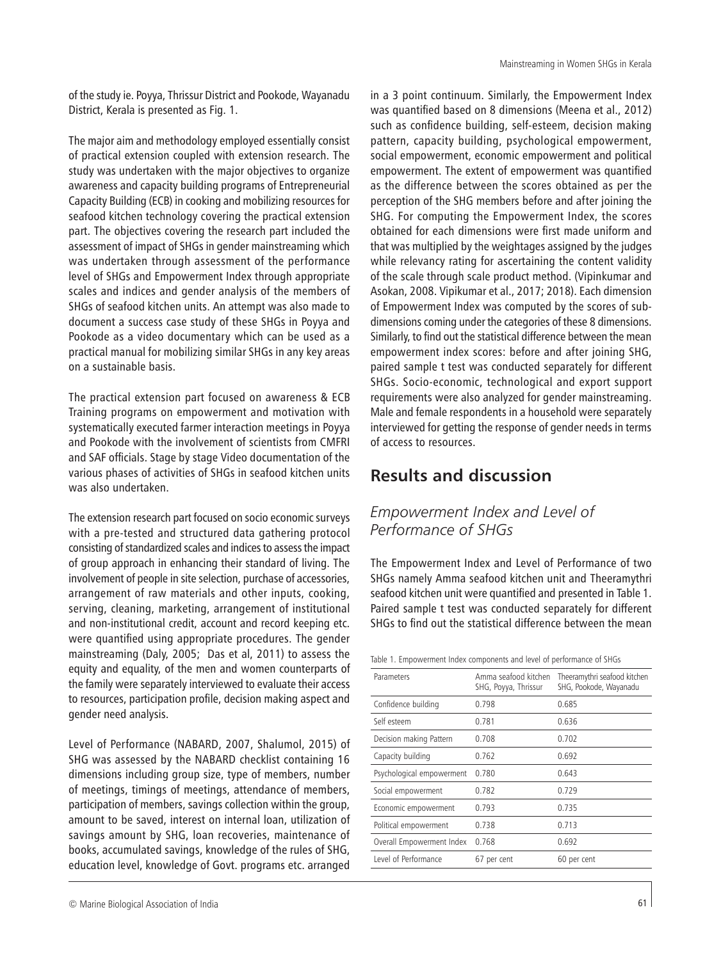of the study ie. Poyya, Thrissur District and Pookode, Wayanadu District, Kerala is presented as Fig. 1.

The major aim and methodology employed essentially consist of practical extension coupled with extension research. The study was undertaken with the major objectives to organize awareness and capacity building programs of Entrepreneurial Capacity Building (ECB) in cooking and mobilizing resources for seafood kitchen technology covering the practical extension part. The objectives covering the research part included the assessment of impact of SHGs in gender mainstreaming which was undertaken through assessment of the performance level of SHGs and Empowerment Index through appropriate scales and indices and gender analysis of the members of SHGs of seafood kitchen units. An attempt was also made to document a success case study of these SHGs in Poyya and Pookode as a video documentary which can be used as a practical manual for mobilizing similar SHGs in any key areas on a sustainable basis.

The practical extension part focused on awareness & ECB Training programs on empowerment and motivation with systematically executed farmer interaction meetings in Poyya and Pookode with the involvement of scientists from CMFRI and SAF officials. Stage by stage Video documentation of the various phases of activities of SHGs in seafood kitchen units was also undertaken.

The extension research part focused on socio economic surveys with a pre-tested and structured data gathering protocol consisting of standardized scales and indices to assess the impact of group approach in enhancing their standard of living. The involvement of people in site selection, purchase of accessories, arrangement of raw materials and other inputs, cooking, serving, cleaning, marketing, arrangement of institutional and non-institutional credit, account and record keeping etc. were quantified using appropriate procedures. The gender mainstreaming (Daly, 2005; Das et al, 2011) to assess the equity and equality, of the men and women counterparts of the family were separately interviewed to evaluate their access to resources, participation profile, decision making aspect and gender need analysis.

Level of Performance (NABARD, 2007, Shalumol, 2015) of SHG was assessed by the NABARD checklist containing 16 dimensions including group size, type of members, number of meetings, timings of meetings, attendance of members, participation of members, savings collection within the group, amount to be saved, interest on internal loan, utilization of savings amount by SHG, loan recoveries, maintenance of books, accumulated savings, knowledge of the rules of SHG, education level, knowledge of Govt. programs etc. arranged

in a 3 point continuum. Similarly, the Empowerment Index was quantified based on 8 dimensions (Meena et al., 2012) such as confidence building, self-esteem, decision making pattern, capacity building, psychological empowerment, social empowerment, economic empowerment and political empowerment. The extent of empowerment was quantified as the difference between the scores obtained as per the perception of the SHG members before and after joining the SHG. For computing the Empowerment Index, the scores obtained for each dimensions were first made uniform and that was multiplied by the weightages assigned by the judges while relevancy rating for ascertaining the content validity of the scale through scale product method. (Vipinkumar and Asokan, 2008. Vipikumar et al., 2017; 2018). Each dimension of Empowerment Index was computed by the scores of subdimensions coming under the categories of these 8 dimensions. Similarly, to find out the statistical difference between the mean empowerment index scores: before and after joining SHG, paired sample t test was conducted separately for different SHGs. Socio-economic, technological and export support requirements were also analyzed for gender mainstreaming. Male and female respondents in a household were separately interviewed for getting the response of gender needs in terms of access to resources.

# **Results and discussion**

## *Empowerment Index and Level of Performance of SHGs*

The Empowerment Index and Level of Performance of two SHGs namely Amma seafood kitchen unit and Theeramythri seafood kitchen unit were quantified and presented in Table 1. Paired sample t test was conducted separately for different SHGs to find out the statistical difference between the mean

| Table 1. Empowerment Index components and level of performance of SHGs |  |  |  |  |
|------------------------------------------------------------------------|--|--|--|--|
|                                                                        |  |  |  |  |

| Parameters                | Amma seafood kitchen<br>SHG, Poyya, Thrissur | Theeramythri seafood kitchen<br>SHG, Pookode, Wayanadu |
|---------------------------|----------------------------------------------|--------------------------------------------------------|
| Confidence building       | 0.798                                        | 0.685                                                  |
| Self esteem               | 0.781                                        | 0.636                                                  |
| Decision making Pattern   | 0.708                                        | 0.702                                                  |
| Capacity building         | 0.762                                        | 0.692                                                  |
| Psychological empowerment | 0.780                                        | 0.643                                                  |
| Social empowerment        | 0.782                                        | 0.729                                                  |
| Economic empowerment      | 0.793                                        | 0.735                                                  |
| Political empowerment     | 0.738                                        | 0.713                                                  |
| Overall Empowerment Index | 0.768                                        | 0.692                                                  |
| Level of Performance      | 67 per cent                                  | 60 per cent                                            |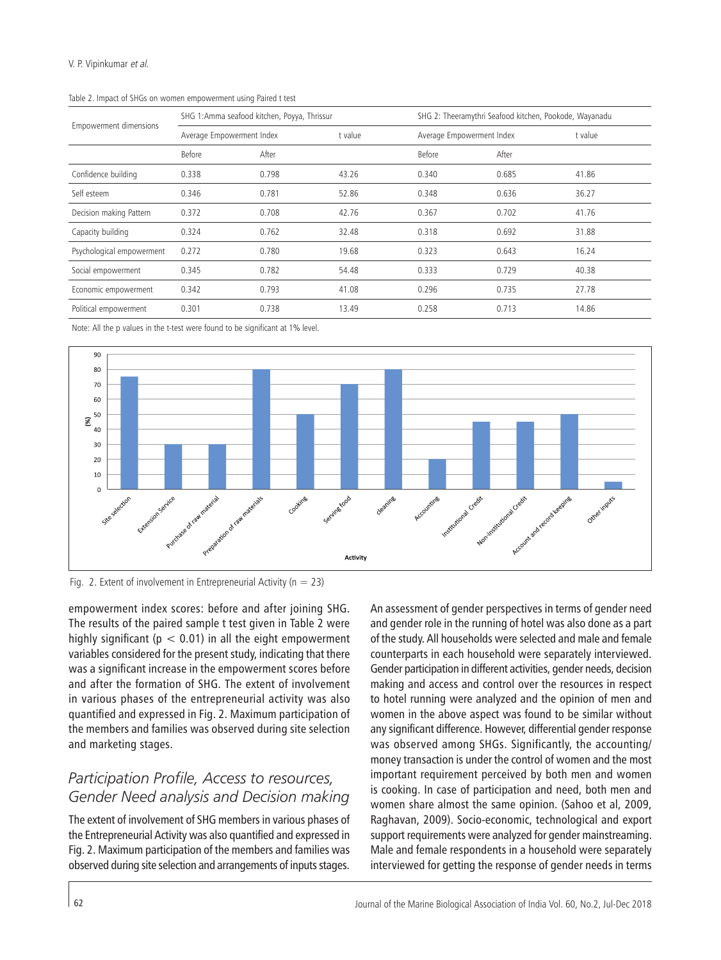|                               |        | SHG 1:Amma seafood kitchen, Poyya, Thrissur |         |        | SHG 2: Theeramythri Seafood kitchen, Pookode, Wayanadu |         |  |  |  |
|-------------------------------|--------|---------------------------------------------|---------|--------|--------------------------------------------------------|---------|--|--|--|
| <b>Empowerment dimensions</b> |        | Average Empowerment Index                   | t value |        | Average Empowerment Index                              | t value |  |  |  |
|                               | Before | After                                       |         | Before | After                                                  |         |  |  |  |
| Confidence building           | 0.338  | 0.798                                       | 43.26   | 0.340  | 0.685                                                  | 41.86   |  |  |  |
| Self esteem                   | 0.346  | 0.781                                       | 52.86   | 0.348  | 0.636                                                  | 36.27   |  |  |  |
| Decision making Pattern       | 0.372  | 0.708                                       | 42.76   | 0.367  | 0.702                                                  | 41.76   |  |  |  |
| Capacity building             | 0.324  | 0.762                                       | 32.48   | 0.318  | 0.692                                                  | 31.88   |  |  |  |
| Psychological empowerment     | 0.272  | 0.780                                       | 19.68   | 0.323  | 0.643                                                  | 16.24   |  |  |  |
| Social empowerment            | 0.345  | 0.782                                       | 54.48   | 0.333  | 0.729                                                  | 40.38   |  |  |  |
| Economic empowerment          | 0.342  | 0.793                                       | 41.08   | 0.296  | 0.735                                                  | 27.78   |  |  |  |
| Political empowerment         | 0.301  | 0.738                                       | 13.49   | 0.258  | 0.713                                                  | 14.86   |  |  |  |

Table 2. Impact of SHGs on women empowerment using Paired t test

Note: All the p values in the t-test were found to be significant at 1% level.



Fig. 2. Extent of involvement in Entrepreneurial Activity ( $n = 23$ )

empowerment index scores: before and after joining SHG. The results of the paired sample t test given in Table 2 were highly significant ( $p < 0.01$ ) in all the eight empowerment variables considered for the present study, indicating that there was a significant increase in the empowerment scores before and after the formation of SHG. The extent of involvement in various phases of the entrepreneurial activity was also quantified and expressed in Fig. 2. Maximum participation of the members and families was observed during site selection and marketing stages.

### *Participation Profile, Access to resources, Gender Need analysis and Decision making*

The extent of involvement of SHG members in various phases of the Entrepreneurial Activity was also quantified and expressed in Fig. 2. Maximum participation of the members and families was observed during site selection and arrangements of inputs stages. An assessment of gender perspectives in terms of gender need and gender role in the running of hotel was also done as a part of the study. All households were selected and male and female counterparts in each household were separately interviewed. Gender participation in different activities, gender needs, decision making and access and control over the resources in respect to hotel running were analyzed and the opinion of men and women in the above aspect was found to be similar without any significant difference. However, differential gender response was observed among SHGs. Significantly, the accounting/ money transaction is under the control of women and the most important requirement perceived by both men and women is cooking. In case of participation and need, both men and women share almost the same opinion. (Sahoo et al, 2009, Raghavan, 2009). Socio-economic, technological and export support requirements were analyzed for gender mainstreaming. Male and female respondents in a household were separately interviewed for getting the response of gender needs in terms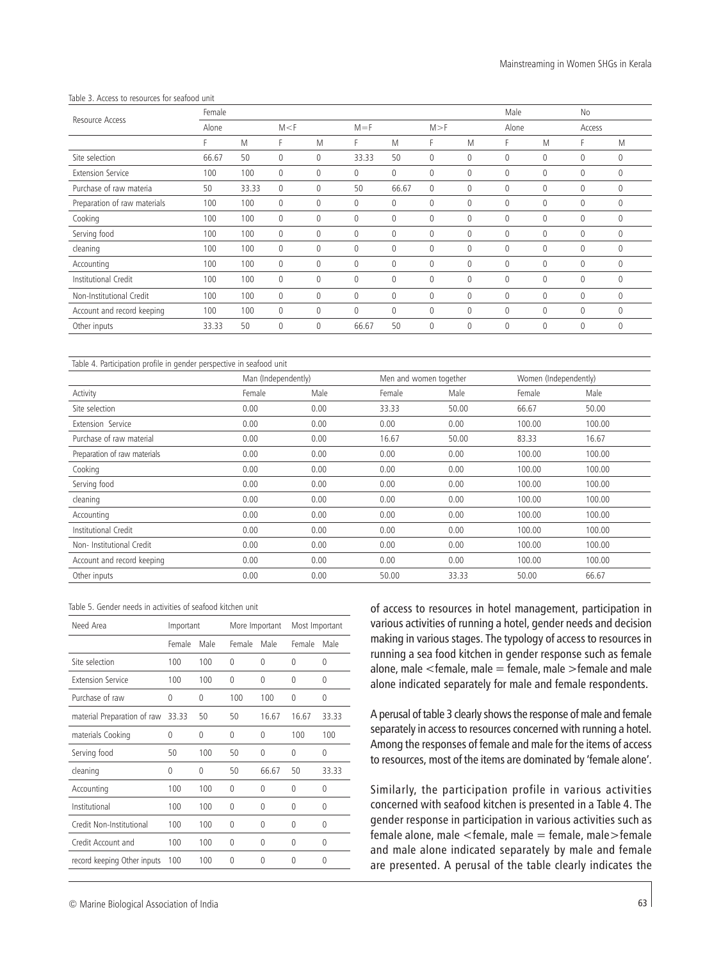#### Table 3. Access to resources for seafood unit

|                              | Female |       |             |          |              |              |     |              | Male         |   | No       |              |
|------------------------------|--------|-------|-------------|----------|--------------|--------------|-----|--------------|--------------|---|----------|--------------|
| Resource Access              | Alone  |       | M < F       |          | $M = F$      |              | M>F |              | Alone        |   | Access   |              |
|                              | F      | M     | F           | M        | F.           | M            | F   | M            | F            | M | F.       | M            |
| Site selection               | 66.67  | 50    | 0           | 0        | 33.33        | 50           | 0   | $\mathbf 0$  | $\mathbf{0}$ | 0 | 0        | $\mathbf{0}$ |
| <b>Extension Service</b>     | 100    | 100   | 0           | $\Omega$ | $\Omega$     | 0            | 0   | $\Omega$     | $\mathbf{0}$ | 0 | $\Omega$ | $\mathbf{0}$ |
| Purchase of raw materia      | 50     | 33.33 | $\mathbf 0$ | 0        | 50           | 66.67        | 0   | $\Omega$     | $\mathbf{0}$ | 0 | 0        | $\mathbf{0}$ |
| Preparation of raw materials | 100    | 100   | $\mathbf 0$ | $\Omega$ | $\Omega$     | 0            | 0   | $\Omega$     | $\mathbf{0}$ | 0 | $\Omega$ | $\mathbf{0}$ |
| Cooking                      | 100    | 100   | 0           | 0        | $\mathbf 0$  | 0            | 0   | $\mathbf 0$  | $\mathbf{0}$ | 0 | 0        | $\mathbf{0}$ |
| Serving food                 | 100    | 100   | 0           | $\Omega$ | $\Omega$     | 0            | 0   | $\Omega$     | $\mathbf{0}$ | 0 | $\Omega$ | $\mathbf{0}$ |
| cleaning                     | 100    | 100   | $\mathbf 0$ | 0        | $\mathbf 0$  | 0            | 0   | $\mathbf 0$  | $\mathbf{0}$ | 0 | 0        | $\mathbf{0}$ |
| Accounting                   | 100    | 100   | $\mathbf 0$ | $\Omega$ | $\Omega$     | $\Omega$     | 0   | $\Omega$     | $\mathbf{0}$ | 0 | $\Omega$ | $\Omega$     |
| Institutional Credit         | 100    | 100   | 0           | 0        | $\mathbf{0}$ | 0            | 0   | $\mathbf{0}$ | $\mathbf{0}$ | 0 | 0        | $\mathbf{0}$ |
| Non-Institutional Credit     | 100    | 100   | $\mathbf 0$ | 0        | $\mathbf 0$  | $\mathbf{0}$ | 0   | $\mathbf 0$  | $\mathbf{0}$ | 0 | 0        | $\mathbf{0}$ |
| Account and record keeping   | 100    | 100   | $\mathbf 0$ | 0        | $\mathbf 0$  | 0            | 0   | $\mathbf 0$  | $\mathbf{0}$ | 0 | 0        | $\mathbf{0}$ |
| Other inputs                 | 33.33  | 50    | 0           | $\theta$ | 66.67        | 50           | 0   | $\theta$     | $\mathbf{0}$ | 0 | 0        | $\mathbf{0}$ |

#### Table 4. Participation profile in gender perspective in seafood unit

|                              | Man (Independently) |      | Men and women together |       | Women (Independently) |        |
|------------------------------|---------------------|------|------------------------|-------|-----------------------|--------|
| Activity                     | Female              | Male | Female                 | Male  | Female                | Male   |
| Site selection               | 0.00                | 0.00 | 33.33                  | 50.00 | 66.67                 | 50.00  |
| Extension Service            | 0.00                | 0.00 | 0.00                   | 0.00  | 100.00                | 100.00 |
| Purchase of raw material     | 0.00                | 0.00 | 16.67                  | 50.00 | 83.33                 | 16.67  |
| Preparation of raw materials | 0.00                | 0.00 | 0.00                   | 0.00  | 100.00                | 100.00 |
| Cooking                      | 0.00                | 0.00 | 0.00                   | 0.00  | 100.00                | 100.00 |
| Serving food                 | 0.00                | 0.00 | 0.00                   | 0.00  | 100.00                | 100.00 |
| cleaning                     | 0.00                | 0.00 | 0.00                   | 0.00  | 100.00                | 100.00 |
| Accounting                   | 0.00                | 0.00 | 0.00                   | 0.00  | 100.00                | 100.00 |
| Institutional Credit         | 0.00                | 0.00 | 0.00                   | 0.00  | 100.00                | 100.00 |
| Non-Institutional Credit     | 0.00                | 0.00 | 0.00                   | 0.00  | 100.00                | 100.00 |
| Account and record keeping   | 0.00                | 0.00 | 0.00                   | 0.00  | 100.00                | 100.00 |
| Other inputs                 | 0.00                | 0.00 | 50.00                  | 33.33 | 50.00                 | 66.67  |

| Need Area                   | Important |          | More Important |       | Most Important |          |
|-----------------------------|-----------|----------|----------------|-------|----------------|----------|
|                             | Female    | Male     | Female         | Male  | Female         | Male     |
| Site selection              | 100       | 100      | 0              | 0     | 0              | 0        |
| <b>Extension Service</b>    | 100       | 100      | 0              | 0     | 0              | $\Omega$ |
| Purchase of raw             | 0         | 0        | 100            | 100   | $\Omega$       | $\theta$ |
| material Preparation of raw | 33.33     | 50       | 50             | 16.67 | 16.67          | 33.33    |
| materials Cooking           | 0         | $\Omega$ | $\Omega$       | 0     | 100            | 100      |
| Serving food                | 50        | 100      | 50             | 0     | 0              | 0        |
| cleaning                    | 0         | 0        | 50             | 66.67 | 50             | 33.33    |
| Accounting                  | 100       | 100      | 0              | 0     | 0              | 0        |
| Institutional               | 100       | 100      | 0              | 0     | 0              | $\Omega$ |
| Credit Non-Institutional    | 100       | 100      | 0              | 0     | 0              | 0        |
| Credit Account and          | 100       | 100      | $\Omega$       | 0     | $\Omega$       | $\Omega$ |
| record keeping Other inputs | 100       | 100      | 0              | 0     | $\Omega$       | 0        |

of access to resources in hotel management, participation in various activities of running a hotel, gender needs and decision making in various stages. The typology of access to resources in running a sea food kitchen in gender response such as female alone, male  $\leq$  female, male  $=$  female, male  $\geq$  female and male alone indicated separately for male and female respondents.

A perusal of table 3 clearly shows the response of male and female separately in access to resources concerned with running a hotel. Among the responses of female and male for the items of access to resources, most of the items are dominated by 'female alone'.

Similarly, the participation profile in various activities concerned with seafood kitchen is presented in a Table 4. The gender response in participation in various activities such as female alone, male <female, male = female, male>female and male alone indicated separately by male and female are presented. A perusal of the table clearly indicates the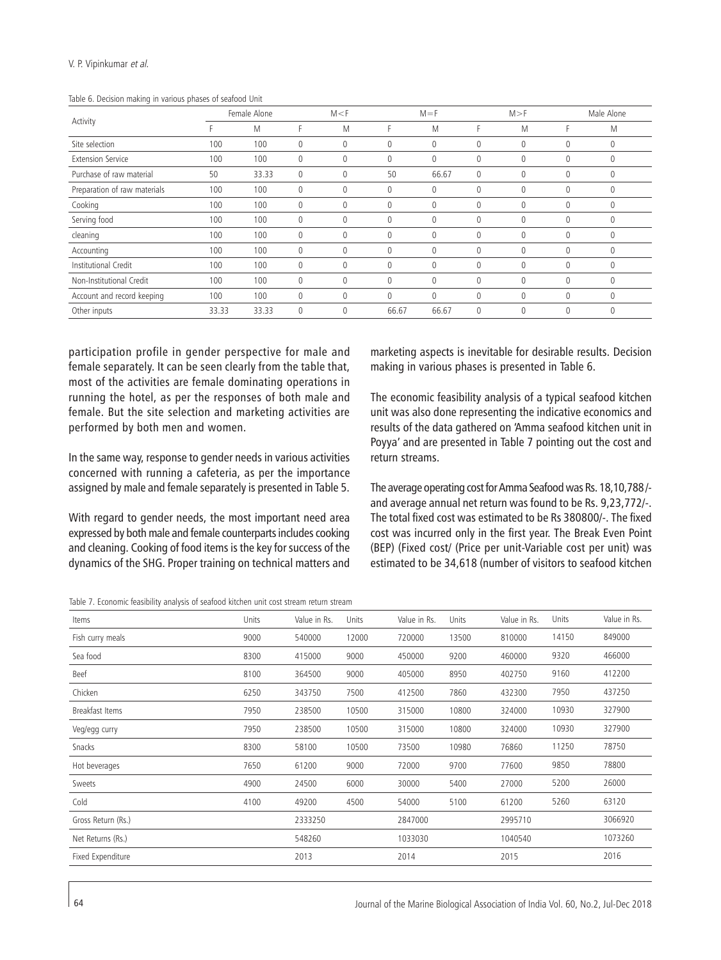#### Journal of the Marine Biological Association of India Vol. 60, No.2, Jul-Dec 2018

| Cooking      | 100 | 100 |  |  |  |  |
|--------------|-----|-----|--|--|--|--|
| Serving food | 100 | 100 |  |  |  |  |
| cleaning     | 100 | 100 |  |  |  |  |
| Accounting   | 100 | 100 |  |  |  |  |

Site selection 100 100 0 0 0 0 0 0 0 0 Extension Service 100 100 0 0 0 0 0 0 0 0 Purchase of raw material 50 33.33 0 0 50 66.67 0 0 0 0 Preparation of raw materials 100 100 0 0 0 0 0 0 0 0

Institutional Credit 100 100 0 0 0 0 0 0 0 0 Non-Institutional Credit 100 100 0 0 0 0 0 0 0 0 Account and record keeping 100 100 0 0 0 0 0 0 0 0 Other inputs 33.33 33.33 0 0 66.67 66.67 0 0 0 0



V. P. Vipinkumar et al.

Activity

participation profile in gender perspective for male and female separately. It can be seen clearly from the table that, most of the activities are female dominating operations in running the hotel, as per the responses of both male and female. But the site selection and marketing activities are performed by both men and women.

In the same way, response to gender needs in various activities concerned with running a cafeteria, as per the importance assigned by male and female separately is presented in Table 5.

With regard to gender needs, the most important need area expressed by both male and female counterparts includes cooking and cleaning. Cooking of food items is the key for success of the dynamics of the SHG. Proper training on technical matters and

Table 7. Economic feasibility analysis of seafood kitchen unit cost stream return stream

marketing aspects is inevitable for desirable results. Decision making in various phases is presented in Table 6.

Female Alone M<F M=F M>F Male Alone F M F M F M F M F M

> The economic feasibility analysis of a typical seafood kitchen unit was also done representing the indicative economics and results of the data gathered on 'Amma seafood kitchen unit in Poyya' and are presented in Table 7 pointing out the cost and return streams.

> The average operating cost for Amma Seafood was Rs. 18,10,788 / and average annual net return was found to be Rs. 9,23,772/-. The total fixed cost was estimated to be Rs 380800/-. The fixed cost was incurred only in the first year. The Break Even Point (BEP) (Fixed cost/ (Price per unit-Variable cost per unit) was estimated to be 34,618 (number of visitors to seafood kitchen

| Items              | Units | Value in Rs. | Units | Value in Rs. | Units | Value in Rs. | Units | Value in Rs. |
|--------------------|-------|--------------|-------|--------------|-------|--------------|-------|--------------|
| Fish curry meals   | 9000  | 540000       | 12000 | 720000       | 13500 | 810000       | 14150 | 849000       |
| Sea food           | 8300  | 415000       | 9000  | 450000       | 9200  | 460000       | 9320  | 466000       |
| Beef               | 8100  | 364500       | 9000  | 405000       | 8950  | 402750       | 9160  | 412200       |
| Chicken            | 6250  | 343750       | 7500  | 412500       | 7860  | 432300       | 7950  | 437250       |
| Breakfast Items    | 7950  | 238500       | 10500 | 315000       | 10800 | 324000       | 10930 | 327900       |
| Veg/egg curry      | 7950  | 238500       | 10500 | 315000       | 10800 | 324000       | 10930 | 327900       |
| Snacks             | 8300  | 58100        | 10500 | 73500        | 10980 | 76860        | 11250 | 78750        |
| Hot beverages      | 7650  | 61200        | 9000  | 72000        | 9700  | 77600        | 9850  | 78800        |
| Sweets             | 4900  | 24500        | 6000  | 30000        | 5400  | 27000        | 5200  | 26000        |
| Cold               | 4100  | 49200        | 4500  | 54000        | 5100  | 61200        | 5260  | 63120        |
| Gross Return (Rs.) |       | 2333250      |       | 2847000      |       | 2995710      |       | 3066920      |
| Net Returns (Rs.)  |       | 548260       |       | 1033030      |       | 1040540      |       | 1073260      |
| Fixed Expenditure  |       | 2013         |       | 2014         |       | 2015         |       | 2016         |
|                    |       |              |       |              |       |              |       |              |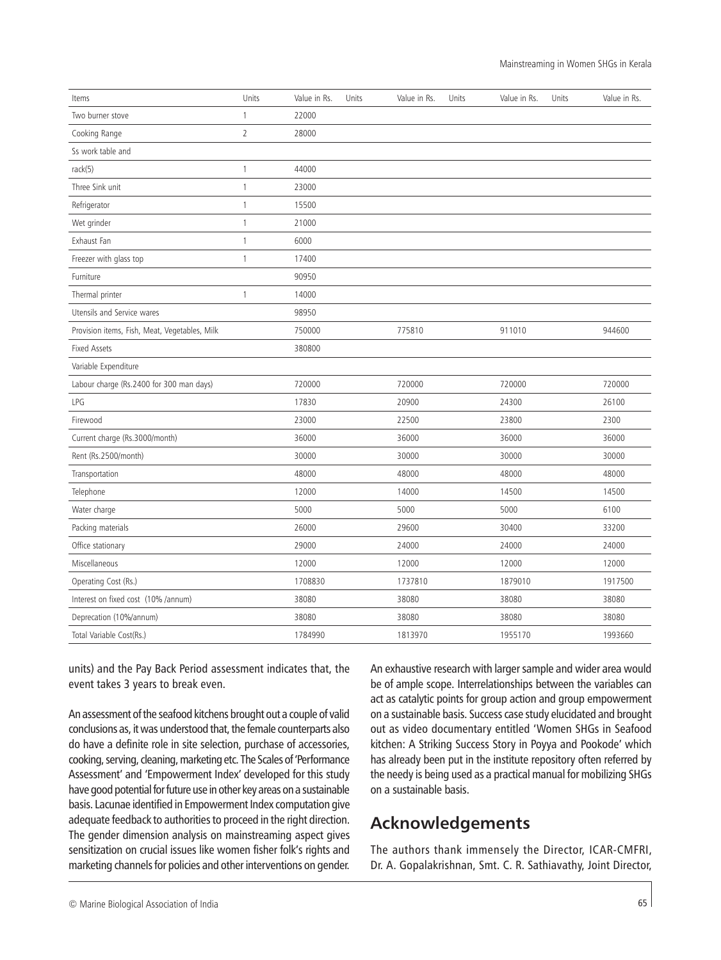| Items                                         | Units          | Value in Rs. | Units | Value in Rs. | Units | Value in Rs. | Units | Value in Rs. |
|-----------------------------------------------|----------------|--------------|-------|--------------|-------|--------------|-------|--------------|
| Two burner stove                              | $\mathbf{1}$   | 22000        |       |              |       |              |       |              |
| Cooking Range                                 | $\overline{2}$ | 28000        |       |              |       |              |       |              |
| Ss work table and                             |                |              |       |              |       |              |       |              |
| rack(5)                                       | $\mathbf{1}$   | 44000        |       |              |       |              |       |              |
| Three Sink unit                               | $\mathbf{1}$   | 23000        |       |              |       |              |       |              |
| Refrigerator                                  | 1              | 15500        |       |              |       |              |       |              |
| Wet grinder                                   | $\mathbf{1}$   | 21000        |       |              |       |              |       |              |
| Exhaust Fan                                   | $\mathbf{1}$   | 6000         |       |              |       |              |       |              |
| Freezer with glass top                        | $\mathbf{1}$   | 17400        |       |              |       |              |       |              |
| Furniture                                     |                | 90950        |       |              |       |              |       |              |
| Thermal printer                               | $\mathbf{1}$   | 14000        |       |              |       |              |       |              |
| Utensils and Service wares                    |                | 98950        |       |              |       |              |       |              |
| Provision items, Fish, Meat, Vegetables, Milk |                | 750000       |       | 775810       |       | 911010       |       | 944600       |
| <b>Fixed Assets</b>                           |                | 380800       |       |              |       |              |       |              |
| Variable Expenditure                          |                |              |       |              |       |              |       |              |
| Labour charge (Rs.2400 for 300 man days)      |                | 720000       |       | 720000       |       | 720000       |       | 720000       |
| LPG                                           |                | 17830        |       | 20900        |       | 24300        |       | 26100        |
| Firewood                                      |                | 23000        |       | 22500        |       | 23800        |       | 2300         |
| Current charge (Rs.3000/month)                |                | 36000        |       | 36000        |       | 36000        |       | 36000        |
| Rent (Rs.2500/month)                          |                | 30000        |       | 30000        |       | 30000        |       | 30000        |
| Transportation                                |                | 48000        |       | 48000        |       | 48000        |       | 48000        |
| Telephone                                     |                | 12000        |       | 14000        |       | 14500        |       | 14500        |
| Water charge                                  |                | 5000         |       | 5000         |       | 5000         |       | 6100         |
| Packing materials                             |                | 26000        |       | 29600        |       | 30400        |       | 33200        |
| Office stationary                             |                | 29000        |       | 24000        |       | 24000        |       | 24000        |
| Miscellaneous                                 |                | 12000        |       | 12000        |       | 12000        |       | 12000        |
| Operating Cost (Rs.)                          |                | 1708830      |       | 1737810      |       | 1879010      |       | 1917500      |
| Interest on fixed cost (10% /annum)           |                | 38080        |       | 38080        |       | 38080        |       | 38080        |
| Deprecation (10%/annum)                       |                | 38080        |       | 38080        |       | 38080        |       | 38080        |
| Total Variable Cost(Rs.)                      |                | 1784990      |       | 1813970      |       | 1955170      |       | 1993660      |

units) and the Pay Back Period assessment indicates that, the event takes 3 years to break even.

An assessment of the seafood kitchens brought out a couple of valid conclusions as, it was understood that, the female counterparts also do have a definite role in site selection, purchase of accessories, cooking, serving, cleaning, marketing etc. The Scales of 'Performance Assessment' and 'Empowerment Index' developed for this study have good potential for future use in other key areas on a sustainable basis. Lacunae identified in Empowerment Index computation give adequate feedback to authorities to proceed in the right direction. The gender dimension analysis on mainstreaming aspect gives sensitization on crucial issues like women fisher folk's rights and marketing channels for policies and other interventions on gender. An exhaustive research with larger sample and wider area would be of ample scope. Interrelationships between the variables can act as catalytic points for group action and group empowerment on a sustainable basis. Success case study elucidated and brought out as video documentary entitled 'Women SHGs in Seafood kitchen: A Striking Success Story in Poyya and Pookode' which has already been put in the institute repository often referred by the needy is being used as a practical manual for mobilizing SHGs on a sustainable basis.

# **Acknowledgements**

The authors thank immensely the Director, ICAR-CMFRI, Dr. A. Gopalakrishnan, Smt. C. R. Sathiavathy, Joint Director,